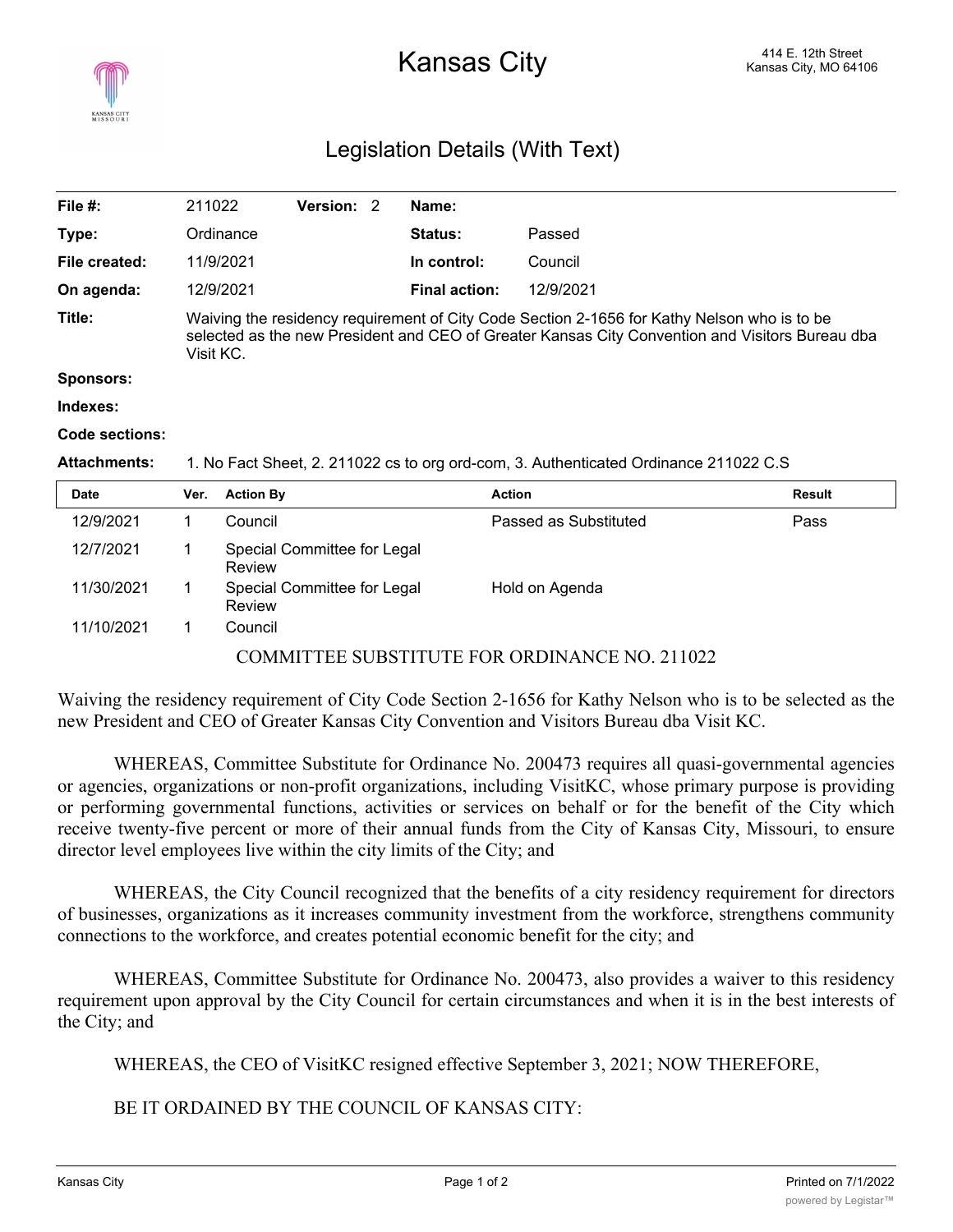## Legislation Details (With Text)

| File #:             | 211022                                                                                                                                                                                                      | Version: 2 |  | Name:                |           |  |  |
|---------------------|-------------------------------------------------------------------------------------------------------------------------------------------------------------------------------------------------------------|------------|--|----------------------|-----------|--|--|
| Type:               | Ordinance                                                                                                                                                                                                   |            |  | <b>Status:</b>       | Passed    |  |  |
| File created:       | 11/9/2021                                                                                                                                                                                                   |            |  | In control:          | Council   |  |  |
| On agenda:          | 12/9/2021                                                                                                                                                                                                   |            |  | <b>Final action:</b> | 12/9/2021 |  |  |
| Title:              | Waiving the residency requirement of City Code Section 2-1656 for Kathy Nelson who is to be<br>selected as the new President and CEO of Greater Kansas City Convention and Visitors Bureau dba<br>Visit KC. |            |  |                      |           |  |  |
| <b>Sponsors:</b>    |                                                                                                                                                                                                             |            |  |                      |           |  |  |
| Indexes:            |                                                                                                                                                                                                             |            |  |                      |           |  |  |
| Code sections:      |                                                                                                                                                                                                             |            |  |                      |           |  |  |
| <b>Attachments:</b> | 1. No Fact Sheet, 2. 211022 cs to org ord-com, 3. Authenticated Ordinance 211022 C.S                                                                                                                        |            |  |                      |           |  |  |
| $\sim$ $\sim$       | $\mathbf{r}$                                                                                                                                                                                                |            |  |                      |           |  |  |

| <b>Date</b> | Ver.                                          | <b>Action By</b>                      | <b>Action</b>         | <b>Result</b> |  |  |  |
|-------------|-----------------------------------------------|---------------------------------------|-----------------------|---------------|--|--|--|
| 12/9/2021   |                                               | Council                               | Passed as Substituted | Pass          |  |  |  |
| 12/7/2021   |                                               | Special Committee for Legal<br>Review |                       |               |  |  |  |
| 11/30/2021  |                                               | Special Committee for Legal<br>Review | Hold on Agenda        |               |  |  |  |
| 11/10/2021  |                                               | Council                               |                       |               |  |  |  |
|             | COMMITTEE SUBSTITUTE FOR ORDINANCE NO. 211022 |                                       |                       |               |  |  |  |

Waiving the residency requirement of City Code Section 2-1656 for Kathy Nelson who is to be selected as the new President and CEO of Greater Kansas City Convention and Visitors Bureau dba Visit KC.

WHEREAS, Committee Substitute for Ordinance No. 200473 requires all quasi-governmental agencies or agencies, organizations or non-profit organizations, including VisitKC, whose primary purpose is providing or performing governmental functions, activities or services on behalf or for the benefit of the City which receive twenty-five percent or more of their annual funds from the City of Kansas City, Missouri, to ensure director level employees live within the city limits of the City; and

WHEREAS, the City Council recognized that the benefits of a city residency requirement for directors of businesses, organizations as it increases community investment from the workforce, strengthens community connections to the workforce, and creates potential economic benefit for the city; and

WHEREAS, Committee Substitute for Ordinance No. 200473, also provides a waiver to this residency requirement upon approval by the City Council for certain circumstances and when it is in the best interests of the City; and

WHEREAS, the CEO of VisitKC resigned effective September 3, 2021; NOW THEREFORE,

BE IT ORDAINED BY THE COUNCIL OF KANSAS CITY: